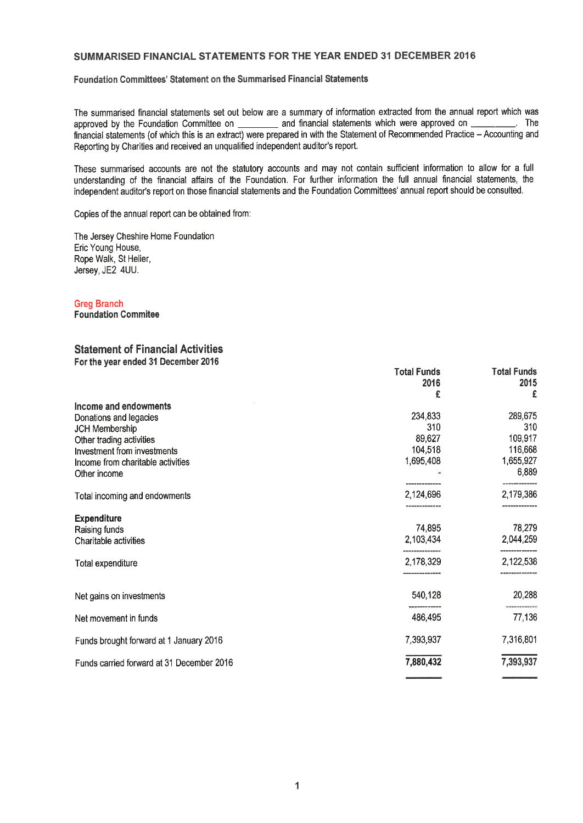## SUMMARISED FINANCIAL STATEMENTS FOR THE YEAR ENDED 31 DECEMBER 2016

Foundation Committees' Statement on the Summarised Financial Statements

The summarised financial statements set out below are a summary of information extracted from the annual report which was<br>annoyed by the Foundation Committee on and financial statements which were approved on approved by the Foundation Committee on \_\_\_\_\_\_\_\_ and financial statements which were approved on \_ financial statements (of which this is an extract) were prepared in with the Statement of Recommended Practice - Accounting and Reporting by Charities and received an unqualified independent auditor's report.

These summarised accounts are not the statutory accounts and may not contain sufficient information to allow for a full understanding of the financial affairs of the Foundation. For further information the full annual financial statements, the independent auditor's report on those financial statements and the Foundation Committees' annual report should be consulted.

Copies of the annual report can be obtained from:

The Jersey Cheshire Home Foundation Eric Young House, Rope Walk, St Helier, Jersey, JE2 4UU.

## Greg Branch

Foundation Commitee

## Statement of Financial Activities For the year ended 31 December 2016

|                                           | <b>Total Funds</b><br>2016 | <b>Total Funds</b><br>2015 |
|-------------------------------------------|----------------------------|----------------------------|
| Income and endowments                     | £                          | £                          |
| Donations and legacies                    | 234,833                    | 289,675                    |
| <b>JCH Membership</b>                     | 310                        | 310                        |
| Other trading activities                  | 89,627                     | 109,917                    |
| Investment from investments               | 104,518                    | 116,668                    |
| Income from charitable activities         | 1,695,408                  | 1,655,927                  |
| Other income                              |                            | 6,889                      |
| Total incoming and endowments             | 2,124,696                  | 2,179,386                  |
| <b>Expenditure</b>                        |                            | ------------               |
| Raising funds                             | 74,895                     | 78,279                     |
| Charitable activities                     | 2,103,434                  | 2,044,259                  |
| <b>Total expenditure</b>                  | 2,178,329                  | 2,122,538                  |
| Net gains on investments                  | 540,128                    | 20,288                     |
| Net movement in funds                     | 486,495                    | 77,136                     |
| Funds brought forward at 1 January 2016   | 7,393,937                  | 7,316,801                  |
| Funds carried forward at 31 December 2016 | 7,880,432                  | 7,393,937                  |